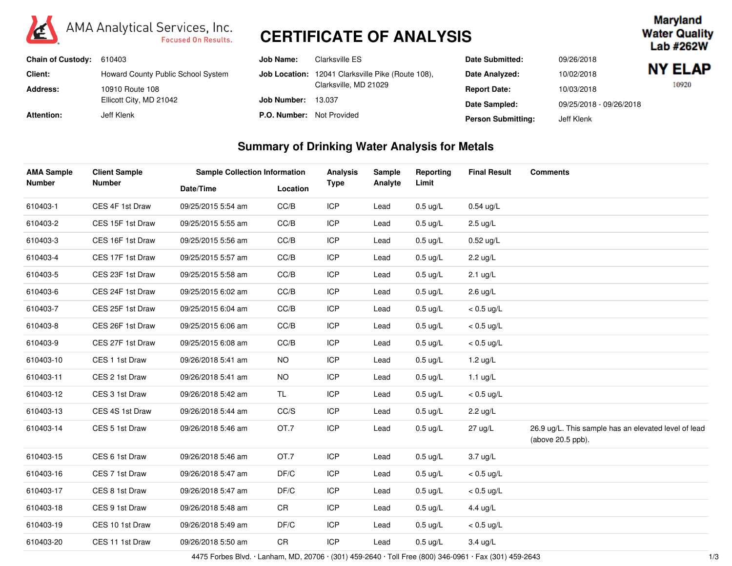

# **CERTIFICATE OF ANALYSIS**

#### **Maryland Water Quality** Lab #262W

| Chain of Custody: 610403 |                                    | Job Name:                        | Clarksville ES                                           | <b>Date Submitted:</b>    | 09/26/2018              |                |
|--------------------------|------------------------------------|----------------------------------|----------------------------------------------------------|---------------------------|-------------------------|----------------|
| <b>Client:</b>           | Howard County Public School System |                                  | <b>Job Location:</b> 12041 Clarksville Pike (Route 108), | Date Analyzed:            | 10/02/2018              | <b>NY ELAP</b> |
| Address:                 | 10910 Route 108                    |                                  | Clarksville, MD 21029                                    | <b>Report Date:</b>       | 10/03/2018              | 10920          |
|                          | Ellicott City, MD 21042            | Job Number:                      | 13.037                                                   | Date Sampled:             | 09/25/2018 - 09/26/2018 |                |
| <b>Attention:</b>        | Jeff Klenk                         | <b>P.O. Number:</b> Not Provided |                                                          | <b>Person Submitting:</b> | Jeff Klenk              |                |

### **Summary of Drinking Water Analysis for Metals**

| <b>AMA Sample</b><br><b>Number</b> | <b>Client Sample</b> | <b>Sample Collection Information</b> |           | <b>Analysis</b> | Sample  | Reporting          | <b>Final Result</b> | <b>Comments</b>                                                           |  |
|------------------------------------|----------------------|--------------------------------------|-----------|-----------------|---------|--------------------|---------------------|---------------------------------------------------------------------------|--|
|                                    | <b>Number</b>        | Date/Time                            | Location  | <b>Type</b>     | Analyte | Limit              |                     |                                                                           |  |
| 610403-1                           | CES 4F 1st Draw      | 09/25/2015 5:54 am                   | CC/B      | <b>ICP</b>      | Lead    | $0.5 \text{ ug/L}$ | $0.54$ ug/L         |                                                                           |  |
| 610403-2                           | CES 15F 1st Draw     | 09/25/2015 5:55 am                   | CC/B      | <b>ICP</b>      | Lead    | $0.5 \text{ ug/L}$ | $2.5 \text{ ug/L}$  |                                                                           |  |
| 610403-3                           | CES 16F 1st Draw     | 09/25/2015 5:56 am                   | CC/B      | <b>ICP</b>      | Lead    | $0.5 \text{ ug/L}$ | $0.52$ ug/L         |                                                                           |  |
| 610403-4                           | CES 17F 1st Draw     | 09/25/2015 5:57 am                   | CC/B      | <b>ICP</b>      | Lead    | $0.5 \text{ ug/L}$ | $2.2 \text{ ug/L}$  |                                                                           |  |
| 610403-5                           | CES 23F 1st Draw     | 09/25/2015 5:58 am                   | CC/B      | <b>ICP</b>      | Lead    | $0.5 \text{ ug/L}$ | $2.1$ ug/L          |                                                                           |  |
| 610403-6                           | CES 24F 1st Draw     | 09/25/2015 6:02 am                   | CC/B      | <b>ICP</b>      | Lead    | $0.5 \text{ ug/L}$ | $2.6 \text{ ug/L}$  |                                                                           |  |
| 610403-7                           | CES 25F 1st Draw     | 09/25/2015 6:04 am                   | CC/B      | <b>ICP</b>      | Lead    | $0.5 \text{ ug/L}$ | $< 0.5$ ug/L        |                                                                           |  |
| 610403-8                           | CES 26F 1st Draw     | 09/25/2015 6:06 am                   | CC/B      | <b>ICP</b>      | Lead    | $0.5 \text{ ug/L}$ | $< 0.5$ ug/L        |                                                                           |  |
| 610403-9                           | CES 27F 1st Draw     | 09/25/2015 6:08 am                   | CC/B      | <b>ICP</b>      | Lead    | $0.5 \text{ ug/L}$ | $< 0.5$ ug/L        |                                                                           |  |
| 610403-10                          | CES 1 1st Draw       | 09/26/2018 5:41 am                   | <b>NO</b> | <b>ICP</b>      | Lead    | $0.5 \text{ ug/L}$ | $1.2$ ug/L          |                                                                           |  |
| 610403-11                          | CES 2 1st Draw       | 09/26/2018 5:41 am                   | <b>NO</b> | <b>ICP</b>      | Lead    | $0.5 \text{ ug/L}$ | $1.1$ ug/L          |                                                                           |  |
| 610403-12                          | CES 3 1st Draw       | 09/26/2018 5:42 am                   | TL.       | <b>ICP</b>      | Lead    | $0.5 \text{ ug/L}$ | $< 0.5$ ug/L        |                                                                           |  |
| 610403-13                          | CES 4S 1st Draw      | 09/26/2018 5:44 am                   | CC/S      | <b>ICP</b>      | Lead    | $0.5 \text{ ug/L}$ | $2.2 \text{ ug/L}$  |                                                                           |  |
| 610403-14                          | CES 5 1st Draw       | 09/26/2018 5:46 am                   | OT.7      | <b>ICP</b>      | Lead    | $0.5 \text{ ug/L}$ | 27 ug/L             | 26.9 ug/L. This sample has an elevated level of lead<br>(above 20.5 ppb). |  |
| 610403-15                          | CES 6 1st Draw       | 09/26/2018 5:46 am                   | OT.7      | <b>ICP</b>      | Lead    | $0.5 \text{ ug/L}$ | $3.7 \text{ ug/L}$  |                                                                           |  |
| 610403-16                          | CES 7 1st Draw       | 09/26/2018 5:47 am                   | DF/C      | <b>ICP</b>      | Lead    | $0.5 \text{ ug/L}$ | $< 0.5$ ug/L        |                                                                           |  |
| 610403-17                          | CES 8 1st Draw       | 09/26/2018 5:47 am                   | DF/C      | <b>ICP</b>      | Lead    | $0.5 \text{ ug/L}$ | $< 0.5$ ug/L        |                                                                           |  |
| 610403-18                          | CES 9 1st Draw       | 09/26/2018 5:48 am                   | CR        | <b>ICP</b>      | Lead    | $0.5 \text{ ug/L}$ | 4.4 ug/L            |                                                                           |  |
| 610403-19                          | CES 10 1st Draw      | 09/26/2018 5:49 am                   | DF/C      | <b>ICP</b>      | Lead    | $0.5 \text{ ug/L}$ | $< 0.5$ ug/L        |                                                                           |  |
| 610403-20                          | CES 11 1st Draw      | 09/26/2018 5:50 am                   | CR        | <b>ICP</b>      | Lead    | $0.5 \text{ ug/L}$ | $3.4 \text{ ug/L}$  |                                                                           |  |

4475 Forbes Blvd. · Lanham, MD, 20706 · (301) 459-2640 · Toll Free (800) 346-0961 · Fax (301) 459-2643 1/3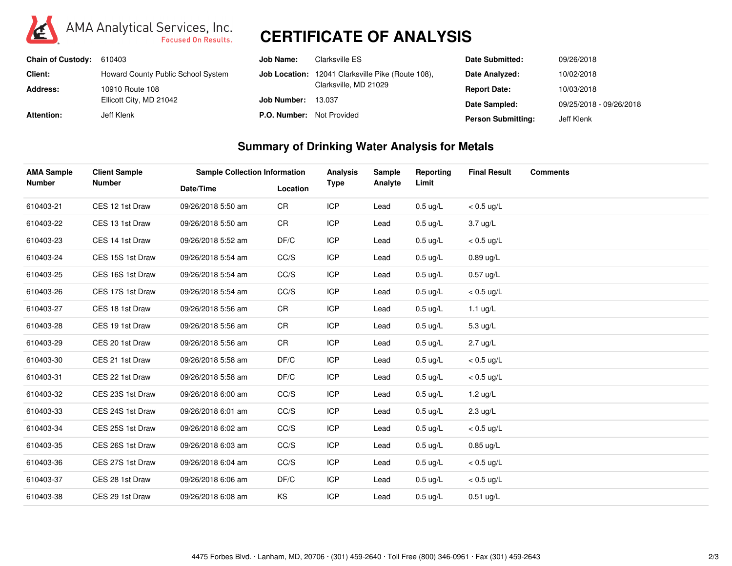

# **CERTIFICATE OF ANALYSIS**

| <b>Chain of Custody:</b> | 610403                             | Job Name:    | Clarksville ES                                           | Date Submitted:           | 09/26/2018              |
|--------------------------|------------------------------------|--------------|----------------------------------------------------------|---------------------------|-------------------------|
| Client:                  | Howard County Public School System |              | <b>Job Location:</b> 12041 Clarksville Pike (Route 108). | Date Analyzed:            | 10/02/2018              |
| Address:                 | 10910 Route 108                    |              | Clarksville, MD 21029                                    | <b>Report Date:</b>       | 10/03/2018              |
|                          | Ellicott City, MD 21042            | Job Number:  | 13.037                                                   | Date Sampled:             | 09/25/2018 - 09/26/2018 |
| <b>Attention:</b>        | Jeff Klenk                         | P.O. Number: | Not Provided                                             | <b>Person Submitting:</b> | Jeff Klenk              |

#### **Summary of Drinking Water Analysis for Metals**

| <b>AMA Sample</b><br><b>Number</b> | <b>Client Sample</b> | <b>Sample Collection Information</b> |          | Analysis    | Sample  | Reporting          | <b>Final Result</b> | <b>Comments</b> |
|------------------------------------|----------------------|--------------------------------------|----------|-------------|---------|--------------------|---------------------|-----------------|
|                                    | <b>Number</b>        | Date/Time                            | Location | <b>Type</b> | Analyte | Limit              |                     |                 |
| 610403-21                          | CES 12 1st Draw      | 09/26/2018 5:50 am                   | CR       | <b>ICP</b>  | Lead    | $0.5 \text{ ug/L}$ | $< 0.5$ ug/L        |                 |
| 610403-22                          | CES 13 1st Draw      | 09/26/2018 5:50 am                   | CR       | <b>ICP</b>  | Lead    | $0.5 \text{ ug/L}$ | 3.7 ug/L            |                 |
| 610403-23                          | CES 14 1st Draw      | 09/26/2018 5:52 am                   | DF/C     | <b>ICP</b>  | Lead    | $0.5 \text{ ug/L}$ | $< 0.5$ ug/L        |                 |
| 610403-24                          | CES 15S 1st Draw     | 09/26/2018 5:54 am                   | CC/S     | <b>ICP</b>  | Lead    | $0.5 \text{ ug/L}$ | $0.89$ ug/L         |                 |
| 610403-25                          | CES 16S 1st Draw     | 09/26/2018 5:54 am                   | CC/S     | <b>ICP</b>  | Lead    | $0.5$ ug/L         | $0.57$ ug/L         |                 |
| 610403-26                          | CES 17S 1st Draw     | 09/26/2018 5:54 am                   | CC/S     | <b>ICP</b>  | Lead    | $0.5 \text{ ug/L}$ | $< 0.5$ ug/L        |                 |
| 610403-27                          | CES 18 1st Draw      | 09/26/2018 5:56 am                   | CR       | <b>ICP</b>  | Lead    | $0.5 \text{ ug/L}$ | 1.1 $ug/L$          |                 |
| 610403-28                          | CES 19 1st Draw      | 09/26/2018 5:56 am                   | CR       | <b>ICP</b>  | Lead    | $0.5 \text{ ug/L}$ | 5.3 ug/L            |                 |
| 610403-29                          | CES 20 1st Draw      | 09/26/2018 5:56 am                   | CR       | <b>ICP</b>  | Lead    | $0.5 \text{ ug/L}$ | $2.7$ ug/L          |                 |
| 610403-30                          | CES 21 1st Draw      | 09/26/2018 5:58 am                   | DF/C     | <b>ICP</b>  | Lead    | $0.5 \text{ ug/L}$ | $< 0.5$ ug/L        |                 |
| 610403-31                          | CES 22 1st Draw      | 09/26/2018 5:58 am                   | DF/C     | <b>ICP</b>  | Lead    | $0.5 \text{ ug/L}$ | $< 0.5$ ug/L        |                 |
| 610403-32                          | CES 23S 1st Draw     | 09/26/2018 6:00 am                   | CC/S     | <b>ICP</b>  | Lead    | $0.5 \text{ ug/L}$ | 1.2 $\mu$ g/L       |                 |
| 610403-33                          | CES 24S 1st Draw     | 09/26/2018 6:01 am                   | CC/S     | <b>ICP</b>  | Lead    | $0.5 \text{ ug/L}$ | $2.3 \text{ ug/L}$  |                 |
| 610403-34                          | CES 25S 1st Draw     | 09/26/2018 6:02 am                   | CC/S     | <b>ICP</b>  | Lead    | $0.5 \text{ ug/L}$ | $< 0.5$ ug/L        |                 |
| 610403-35                          | CES 26S 1st Draw     | 09/26/2018 6:03 am                   | CC/S     | <b>ICP</b>  | Lead    | $0.5 \text{ ug/L}$ | $0.85$ ug/L         |                 |
| 610403-36                          | CES 27S 1st Draw     | 09/26/2018 6:04 am                   | CC/S     | <b>ICP</b>  | Lead    | $0.5 \text{ ug/L}$ | $< 0.5$ ug/L        |                 |
| 610403-37                          | CES 28 1st Draw      | 09/26/2018 6:06 am                   | DF/C     | <b>ICP</b>  | Lead    | $0.5 \text{ ug/L}$ | $< 0.5$ ug/L        |                 |
| 610403-38                          | CES 29 1st Draw      | 09/26/2018 6:08 am                   | KS       | <b>ICP</b>  | Lead    | $0.5 \text{ ug/L}$ | $0.51$ ug/L         |                 |